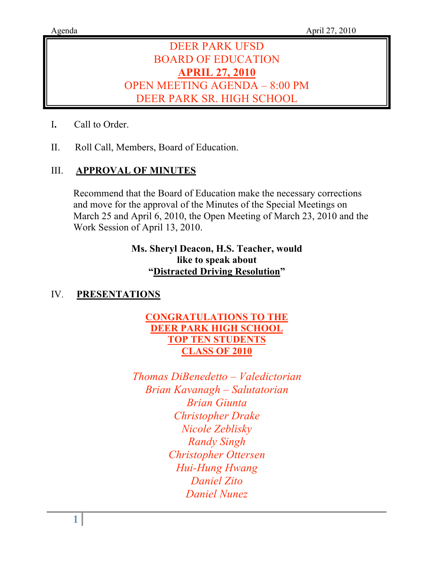# DEER PARK UFSD BOARD OF EDUCATION **APRIL 27, 2010** OPEN MEETING AGENDA – 8:00 PM DEER PARK SR. HIGH SCHOOL

- I**.** Call to Order.
- II. Roll Call, Members, Board of Education.

# III. **APPROVAL OF MINUTES**

Recommend that the Board of Education make the necessary corrections and move for the approval of the Minutes of the Special Meetings on March 25 and April 6, 2010, the Open Meeting of March 23, 2010 and the Work Session of April 13, 2010.

# **Ms. Sheryl Deacon, H.S. Teacher, would like to speak about "Distracted Driving Resolution"**

# IV. **PRESENTATIONS**

# **CONGRATULATIONS TO THE DEER PARK HIGH SCHOOL TOP TEN STUDENTS CLASS OF 2010**

*Thomas DiBenedetto – Valedictorian Brian Kavanagh – Salutatorian Brian Giunta Christopher Drake Nicole Zeblisky Randy Singh Christopher Ottersen Hui-Hung Hwang Daniel Zito Daniel Nunez*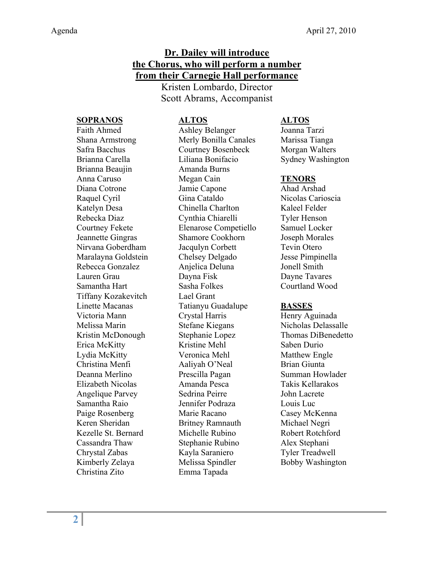# **Dr. Dailey will introduce the Chorus, who will perform a number from their Carnegie Hall performance**

Kristen Lombardo, Director Scott Abrams, Accompanist

#### **SOPRANOS ALTOS ALTOS**

# Brianna Beaujin Amanda Burns Tiffany Kozakevitch Lael Grant Christina Zito Emma Tapada

Faith Ahmed Ashley Belanger Joanna Tarzi Shana Armstrong Merly Bonilla Canales Marissa Tianga Safra Bacchus Courtney Bosenbeck Morgan Walters Brianna Carella **Liliana Bonifacio** Sydney Washington Anna Caruso Megan Cain **TENORS** Diana Cotrone Jamie Capone Ahad Arshad Raquel Cyril Gina Cataldo Nicolas Carioscia Katelyn Desa Chinella Charlton Kaleel Felder Rebecka Diaz Cynthia Chiarelli Tyler Henson Courtney Fekete Elenarose Competiello Samuel Locker Jeannette Gingras Shamore Cookhorn Joseph Morales Nirvana Goberdham Jacqulyn Corbett Tevin Otero Maralayna Goldstein Chelsey Delgado Jesse Pimpinella Rebecca Gonzalez **Anjelica Deluna** Jonell Smith Lauren Grau Dayna Fisk Dayne Tavares Samantha Hart Sasha Folkes Courtland Wood Linette Macanas Tatianyu Guadalupe **BASSES** Victoria Mann Crystal Harris Henry Aguinada Melissa Marin Stefane Kiegans Nicholas Delassalle Kristin McDonough Stephanie Lopez Thomas DiBenedetto Erica McKitty Kristine Mehl Saben Durio Lydia McKitty **Veronica Mehl** Matthew Engle Christina Menfi Aaliyah O'Neal Brian Giunta Deanna Merlino Prescilla Pagan Summan Howlader Elizabeth Nicolas Amanda Pesca Takis Kellarakos Angelique Parvey Sedrina Peirre John Lacrete Samantha Raio **Immiliana Louis Luce Commilian** Jennifer Podraza Louis Luc Paige Rosenberg Marie Racano Casey McKenna Keren Sheridan Britney Ramnauth Michael Negri Kezelle St. Bernard Michelle Rubino Robert Rotchford Cassandra Thaw Stephanie Rubino Alex Stephani Chrystal Zabas Kayla Saraniero Tyler Treadwell Kimberly Zelaya **Melissa Spindler** Bobby Washington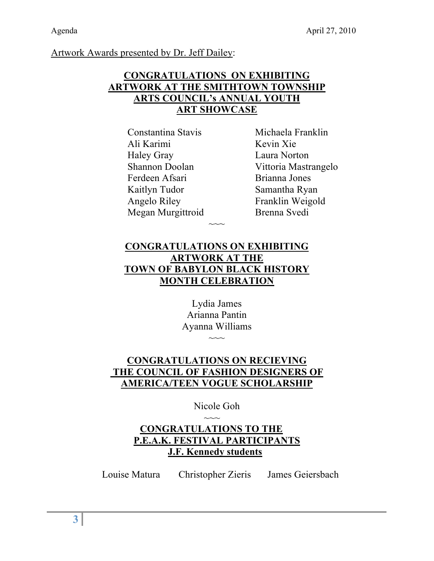# Artwork Awards presented by Dr. Jeff Dailey:

# **CONGRATULATIONS ON EXHIBITING ARTWORK AT THE SMITHTOWN TOWNSHIP ARTS COUNCIL's ANNUAL YOUTH ART SHOWCASE**

Constantina Stavis Michaela Franklin Ali Karimi Kevin Xie Haley Gray Laura Norton Ferdeen Afsari Brianna Jones Kaitlyn Tudor Samantha Ryan Angelo Riley Franklin Weigold Megan Murgittroid Brenna Svedi

Shannon Doolan Vittoria Mastrangelo

# **CONGRATULATIONS ON EXHIBITING ARTWORK AT THE TOWN OF BABYLON BLACK HISTORY MONTH CELEBRATION**

 $\sim$ 

Lydia James Arianna Pantin Ayanna Williams  $\sim\sim\sim$ 

# **CONGRATULATIONS ON RECIEVING THE COUNCIL OF FASHION DESIGNERS OF AMERICA/TEEN VOGUE SCHOLARSHIP**

Nicole Goh

# $\sim$ **CONGRATULATIONS TO THE P.E.A.K. FESTIVAL PARTICIPANTS J.F. Kennedy students**

Louise Matura Christopher Zieris James Geiersbach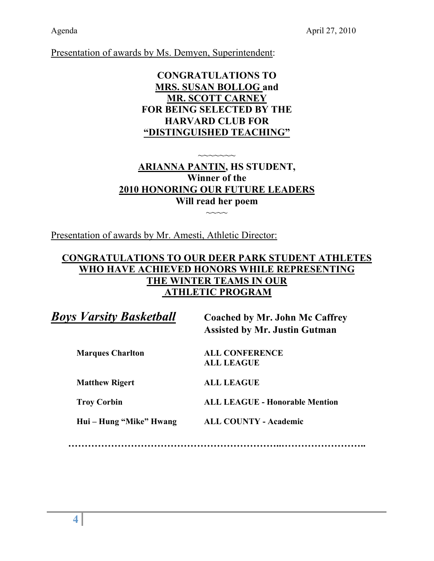Presentation of awards by Ms. Demyen, Superintendent:

# **CONGRATULATIONS TO MRS. SUSAN BOLLOG and MR. SCOTT CARNEY FOR BEING SELECTED BY THE HARVARD CLUB FOR "DISTINGUISHED TEACHING"**

# $\sim$  $\sim$  $\sim$  $\sim$  $\sim$  $\sim$ **ARIANNA PANTIN, HS STUDENT, Winner of the 2010 HONORING OUR FUTURE LEADERS Will read her poem**

 $\sim\sim\sim\sim$ 

Presentation of awards by Mr. Amesti, Athletic Director:

# **CONGRATULATIONS TO OUR DEER PARK STUDENT ATHLETES WHO HAVE ACHIEVED HONORS WHILE REPRESENTING THE WINTER TEAMS IN OUR ATHLETIC PROGRAM**

*Boys Varsity Basketball* **Coached by Mr. John Mc Caffrey**

**Assisted by Mr. Justin Gutman**

**Marques Charlton ALL CONFERENCE ALL LEAGUE**

**Matthew Rigert ALL LEAGUE** 

**Troy Corbin ALL LEAGUE - Honorable Mention**

**Hui – Hung "Mike" Hwang ALL COUNTY - Academic**

**………………………………………………………..……………………..**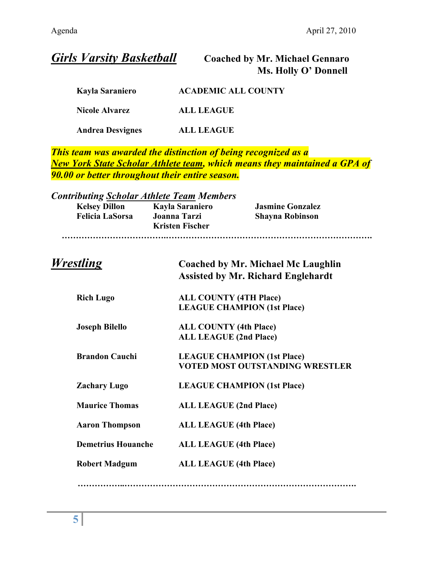| <b>Girls Varsity Basketball</b>                                                                    | <b>Coached by Mr. Michael Gennaro</b><br>Ms. Holly O' Donnell                                                                                      |  |
|----------------------------------------------------------------------------------------------------|----------------------------------------------------------------------------------------------------------------------------------------------------|--|
| <b>Kayla Saraniero</b>                                                                             | <b>ACADEMIC ALL COUNTY</b>                                                                                                                         |  |
| <b>Nicole Alvarez</b>                                                                              | <b>ALL LEAGUE</b>                                                                                                                                  |  |
| <b>Andrea Desvignes</b>                                                                            | <b>ALL LEAGUE</b>                                                                                                                                  |  |
| 90.00 or better throughout their entire season.                                                    | This team was awarded the distinction of being recognized as a<br><b>New York State Scholar Athlete team, which means they maintained a GPA of</b> |  |
| <b>Contributing Scholar Athlete Team Members</b><br><b>Kelsey Dillon</b><br><b>Felicia LaSorsa</b> | <b>Kayla Saraniero</b><br><b>Jasmine Gonzalez</b><br><b>Joanna Tarzi</b><br><b>Shayna Robinson</b><br><b>Kristen Fischer</b>                       |  |
| <i>Wrestling</i>                                                                                   | Coached by Mr. Michael Mc Laughlin<br><b>Assisted by Mr. Richard Englehardt</b>                                                                    |  |
| <b>Rich Lugo</b>                                                                                   | <b>ALL COUNTY (4TH Place)</b><br><b>LEAGUE CHAMPION (1st Place)</b>                                                                                |  |
| <b>Joseph Bilello</b>                                                                              | <b>ALL COUNTY (4th Place)</b><br><b>ALL LEAGUE (2nd Place)</b>                                                                                     |  |
| <b>Brandon Cauchi</b>                                                                              | <b>LEAGUE CHAMPION (1st Place)</b><br>VOTED MOST OUTSTANDING WRESTLER                                                                              |  |
| <b>Zachary Lugo</b>                                                                                | <b>LEAGUE CHAMPION (1st Place)</b>                                                                                                                 |  |
| <b>Maurice Thomas</b>                                                                              | <b>ALL LEAGUE (2nd Place)</b>                                                                                                                      |  |
| <b>Aaron Thompson</b>                                                                              | <b>ALL LEAGUE (4th Place)</b>                                                                                                                      |  |
| <b>Demetrius Houanche</b>                                                                          | <b>ALL LEAGUE (4th Place)</b>                                                                                                                      |  |
| <b>Robert Madgum</b>                                                                               | <b>ALL LEAGUE (4th Place)</b>                                                                                                                      |  |
|                                                                                                    |                                                                                                                                                    |  |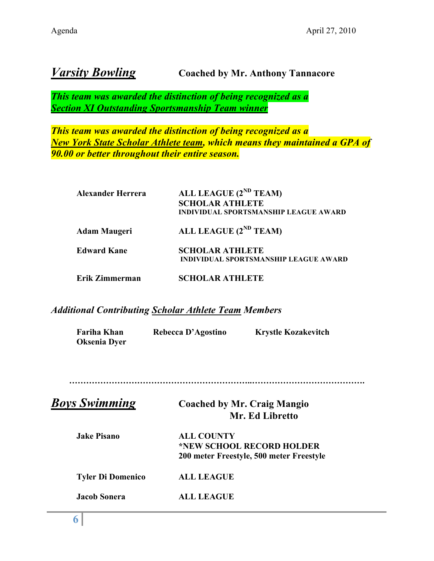# *Varsity Bowling* **Coached by Mr. Anthony Tannacore**

*This team was awarded the distinction of being recognized as a Section XI Outstanding Sportsmanship Team winner*

*This team was awarded the distinction of being recognized as a New York State Scholar Athlete team, which means they maintained a GPA of 90.00 or better throughout their entire season.*

| <b>Alexander Herrera</b> | ALL LEAGUE (2 <sup>ND</sup> TEAM)<br><b>SCHOLAR ATHLETE</b><br>INDIVIDUAL SPORTSMANSHIP LEAGUE AWARD |
|--------------------------|------------------------------------------------------------------------------------------------------|
| <b>Adam Maugeri</b>      | ALL LEAGUE (2 <sup>ND</sup> TEAM)                                                                    |
| <b>Edward Kane</b>       | <b>SCHOLAR ATHLETE</b><br><b>INDIVIDUAL SPORTSMANSHIP LEAGUE AWARD</b>                               |
| Erik Zimmerman           | <b>SCHOLAR ATHLETE</b>                                                                               |

# *Additional Contributing Scholar Athlete Team Members*

| <b>Fariha Khan</b><br><b>Oksenia Dyer</b> | Rebecca D'Agostino | <b>Krystle Kozakevitch</b>                                            |
|-------------------------------------------|--------------------|-----------------------------------------------------------------------|
| <b>Boys Swimming</b>                      |                    | <b>Coached by Mr. Craig Mangio</b><br>Mr. Ed Libretto                 |
| <b>Jake Pisano</b>                        | <b>ALL COUNTY</b>  | *NEW SCHOOL RECORD HOLDER<br>200 meter Freestyle, 500 meter Freestyle |
| <b>Tyler Di Domenico</b>                  | <b>ALL LEAGUE</b>  |                                                                       |
| <b>Jacob Sonera</b>                       | <b>ALL LEAGUE</b>  |                                                                       |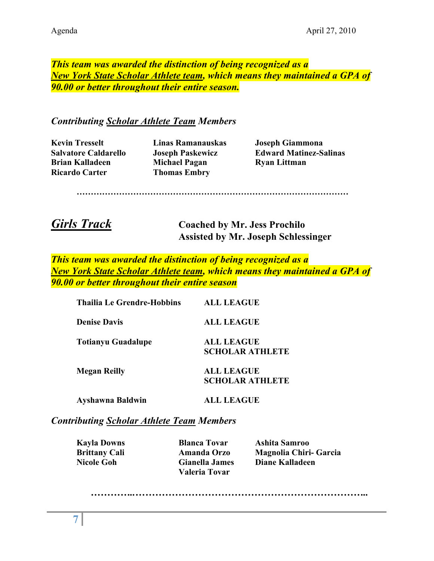# *This team was awarded the distinction of being recognized as a New York State Scholar Athlete team, which means they maintained a GPA of 90.00 or better throughout their entire season.*

# *Contributing Scholar Athlete Team Members*

**Kevin Tresselt Linas Ramanauskas Joseph Giammona Brian Kalladeen Michael Pagan Ryan Littman Ricardo Carter Thomas Embry**

**Salvatore Caldarello Joseph Paskewicz Edward Matinez-Salinas**

**……………………………………………………………………………………**

*Girls Track* **Coached by Mr. Jess Prochilo Assisted by Mr. Joseph Schlessinger**

*This team was awarded the distinction of being recognized as a New York State Scholar Athlete team, which means they maintained a GPA of 90.00 or better throughout their entire season*

| Thailia Le Grendre-Hobbins | <b>ALL LEAGUE</b>                           |
|----------------------------|---------------------------------------------|
| <b>Denise Davis</b>        | <b>ALL LEAGUE</b>                           |
| Totianyu Guadalupe         | <b>ALL LEAGUE</b><br><b>SCHOLAR ATHLETE</b> |
| <b>Megan Reilly</b>        | <b>ALL LEAGUE</b><br><b>SCHOLAR ATHLETE</b> |

**Ayshawna Baldwin ALL LEAGUE**

*Contributing Scholar Athlete Team Members*

**Valeria Tovar**

**Kayla Downs Blanca Tovar Ashita Samroo Brittany Cali Amanda Orzo Magnolia Chiri- Garcia Nicole Goh Gianella James Diane Kalladeen**

*…………..……………………………………………………………..*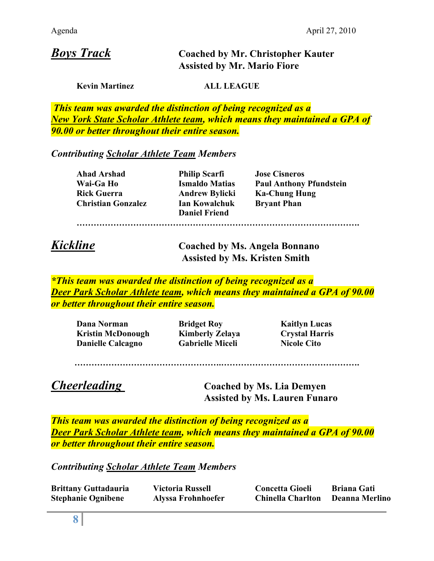# *Boys Track* **Coached by Mr. Christopher Kauter Assisted by Mr. Mario Fiore**

**Kevin Martinez ALL LEAGUE**

*This team was awarded the distinction of being recognized as a New York State Scholar Athlete team, which means they maintained a GPA of 90.00 or better throughout their entire season.*

# *Contributing Scholar Athlete Team Members*

| Ahad Arshad               | <b>Philip Scarfi</b>  | <b>Jose Cisneros</b>           |
|---------------------------|-----------------------|--------------------------------|
| Wai-Ga Ho                 | <b>Ismaldo Matias</b> | <b>Paul Anthony Pfundstein</b> |
| <b>Rick Guerra</b>        | <b>Andrew Bylicki</b> | <b>Ka-Chung Hung</b>           |
| <b>Christian Gonzalez</b> | <b>Ian Kowalchuk</b>  | <b>Bryant Phan</b>             |
|                           | <b>Daniel Friend</b>  |                                |
|                           |                       |                                |

*Kickline* **Coached by Ms. Angela Bonnano Assisted by Ms. Kristen Smith**

*\*This team was awarded the distinction of being recognized as a Deer Park Scholar Athlete team, which means they maintained a GPA of 90.00 or better throughout their entire season.*

**Dana Norman Bridget Roy Kaitlyn Lucas Kristin McDonough Kimberly Zelaya Crystal Harris Danielle Calcagno Gabrielle Miceli Nicole Cito**

#### **…………………………………………….………………………………………….**

*Cheerleading* **Coached by Ms. Lia Demyen Assisted by Ms. Lauren Funaro**

*This team was awarded the distinction of being recognized as a Deer Park Scholar Athlete team, which means they maintained a GPA of 90.00 or better throughout their entire season.*

*Contributing Scholar Athlete Team Members*

| <b>Brittany Guttadauria</b> | <b>Victoria Russell</b>   | <b>Concetta Gioeli</b>   | <b>Briana Gati</b> |
|-----------------------------|---------------------------|--------------------------|--------------------|
| <b>Stephanie Ognibene</b>   | <b>Alyssa Frohnhoefer</b> | <b>Chinella Charlton</b> | Deanna Merlino     |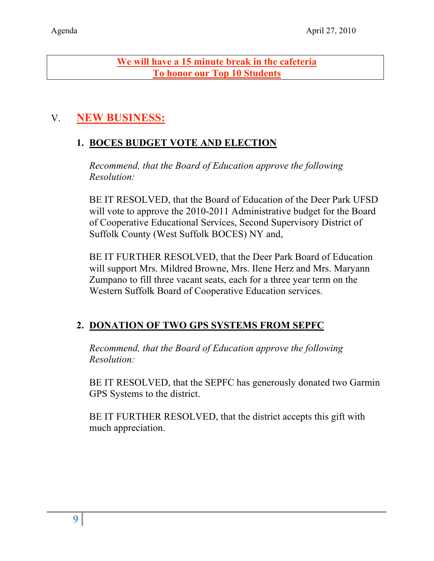**We will have a 15 minute break in the cafeteria To honor our Top 10 Students**

# V. **NEW BUSINESS:**

# **1. BOCES BUDGET VOTE AND ELECTION**

*Recommend, that the Board of Education approve the following Resolution:*

BE IT RESOLVED, that the Board of Education of the Deer Park UFSD will vote to approve the 2010-2011 Administrative budget for the Board of Cooperative Educational Services, Second Supervisory District of Suffolk County (West Suffolk BOCES) NY and,

BE IT FURTHER RESOLVED, that the Deer Park Board of Education will support Mrs. Mildred Browne, Mrs. Ilene Herz and Mrs. Maryann Zumpano to fill three vacant seats, each for a three year term on the Western Suffolk Board of Cooperative Education services.

# **2. DONATION OF TWO GPS SYSTEMS FROM SEPFC**

*Recommend, that the Board of Education approve the following Resolution:*

BE IT RESOLVED, that the SEPFC has generously donated two Garmin GPS Systems to the district.

BE IT FURTHER RESOLVED, that the district accepts this gift with much appreciation.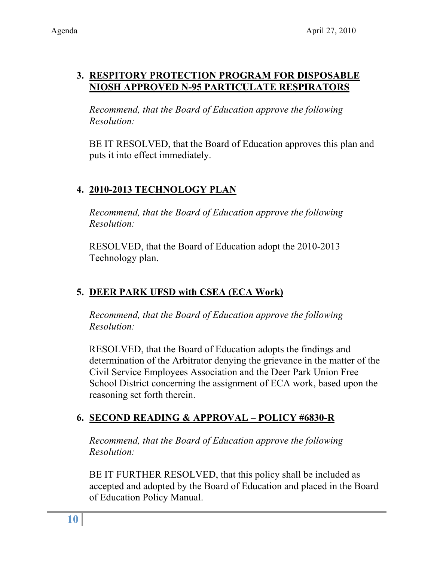# **3. RESPITORY PROTECTION PROGRAM FOR DISPOSABLE NIOSH APPROVED N-95 PARTICULATE RESPIRATORS**

*Recommend, that the Board of Education approve the following Resolution:*

BE IT RESOLVED, that the Board of Education approves this plan and puts it into effect immediately.

# **4. 2010-2013 TECHNOLOGY PLAN**

*Recommend, that the Board of Education approve the following Resolution:*

RESOLVED, that the Board of Education adopt the 2010-2013 Technology plan.

# **5. DEER PARK UFSD with CSEA (ECA Work)**

*Recommend, that the Board of Education approve the following Resolution:*

RESOLVED, that the Board of Education adopts the findings and determination of the Arbitrator denying the grievance in the matter of the Civil Service Employees Association and the Deer Park Union Free School District concerning the assignment of ECA work, based upon the reasoning set forth therein.

# **6. SECOND READING & APPROVAL – POLICY #6830-R**

*Recommend, that the Board of Education approve the following Resolution:*

BE IT FURTHER RESOLVED, that this policy shall be included as accepted and adopted by the Board of Education and placed in the Board of Education Policy Manual.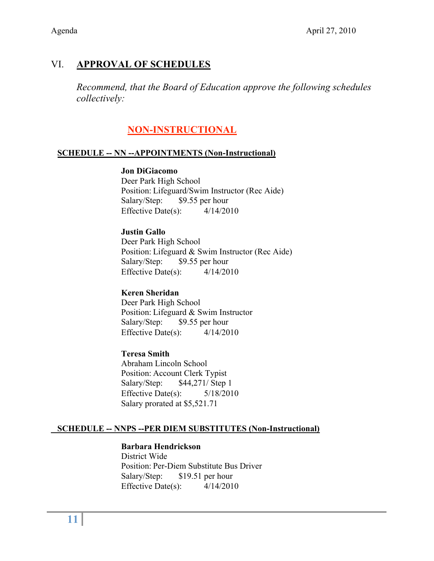# VI. **APPROVAL OF SCHEDULES**

*Recommend, that the Board of Education approve the following schedules collectively:*

# **NON-INSTRUCTIONAL**

#### **SCHEDULE -- NN --APPOINTMENTS (Non-Instructional)**

#### **Jon DiGiacomo**

Deer Park High School Position: Lifeguard/Swim Instructor (Rec Aide) Salary/Step: \$9.55 per hour Effective Date(s):  $4/14/2010$ 

### **Justin Gallo**

Deer Park High School Position: Lifeguard & Swim Instructor (Rec Aide) Salary/Step: \$9.55 per hour Effective Date(s):  $4/14/2010$ 

#### **Keren Sheridan**

Deer Park High School Position: Lifeguard & Swim Instructor Salary/Step: \$9.55 per hour Effective Date(s):  $4/14/2010$ 

#### **Teresa Smith**

Abraham Lincoln School Position: Account Clerk Typist Salary/Step: \$44,271/ Step 1 Effective Date(s): 5/18/2010 Salary prorated at \$5,521.71

## **SCHEDULE -- NNPS --PER DIEM SUBSTITUTES (Non-Instructional)**

#### **Barbara Hendrickson**

District Wide Position: Per-Diem Substitute Bus Driver Salary/Step: \$19.51 per hour Effective Date(s):  $4/14/2010$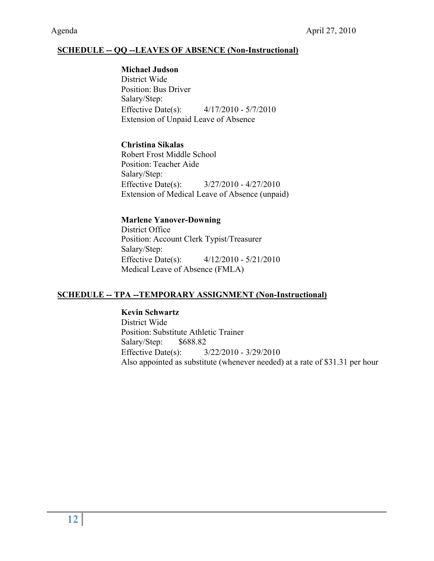#### **SCHEDULE -- QQ --LEAVES OF ABSENCE (Non-Instructional)**

 **Michael Judson** District Wide Position: Bus Driver Salary/Step: Effective Date(s): 4/17/2010 - 5/7/2010 Extension of Unpaid Leave of Absence

#### **Christina Sikalas**

Robert Frost Middle School Position: Teacher Aide Salary/Step: Effective Date(s): 3/27/2010 - 4/27/2010 Extension of Medical Leave of Absence (unpaid)

#### **Marlene Yanover-Downing**

District Office Position: Account Clerk Typist/Treasurer Salary/Step: Effective Date(s): 4/12/2010 - 5/21/2010 Medical Leave of Absence (FMLA)

#### **SCHEDULE -- TPA --TEMPORARY ASSIGNMENT (Non-Instructional)**

#### **Kevin Schwartz**

District Wide Position: Substitute Athletic Trainer Salary/Step: \$688.82 Effective Date(s): 3/22/2010 - 3/29/2010 Also appointed as substitute (whenever needed) at a rate of \$31.31 per hour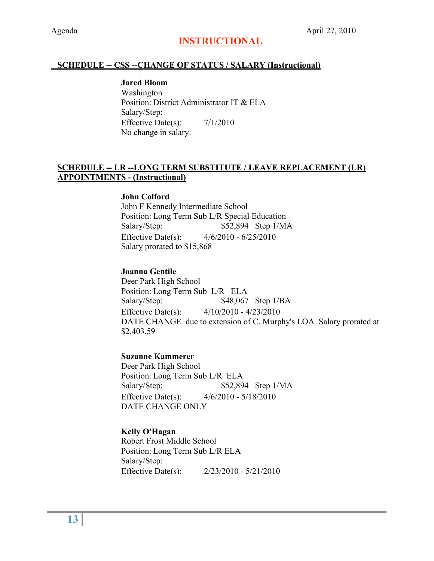# **INSTRUCTIONAL**

#### **SCHEDULE -- CSS --CHANGE OF STATUS / SALARY (Instructional)**

**Jared Bloom** Washington Position: District Administrator IT & ELA Salary/Step: Effective Date(s):  $7/1/2010$ No change in salary.

#### **SCHEDULE -- LR --LONG TERM SUBSTITUTE / LEAVE REPLACEMENT (LR) APPOINTMENTS - (Instructional)**

#### **John Colford**

John F Kennedy Intermediate School Position: Long Term Sub L/R Special Education Salary/Step: \$52,894 Step 1/MA Effective Date(s): 4/6/2010 - 6/25/2010 Salary prorated to \$15,868

#### **Joanna Gentile**

Deer Park High School Position: Long Term Sub L/R ELA Salary/Step: \$48,067 Step 1/BA Effective Date(s): 4/10/2010 - 4/23/2010 DATE CHANGE due to extension of C. Murphy's LOA Salary prorated at \$2,403.59

#### **Suzanne Kammerer**

Deer Park High School Position: Long Term Sub L/R ELA Salary/Step: \$52,894 Step 1/MA Effective Date(s): 4/6/2010 - 5/18/2010 DATE CHANGE ONLY

#### **Kelly O'Hagan**

Robert Frost Middle School Position: Long Term Sub L/R ELA Salary/Step: Effective Date(s): 2/23/2010 - 5/21/2010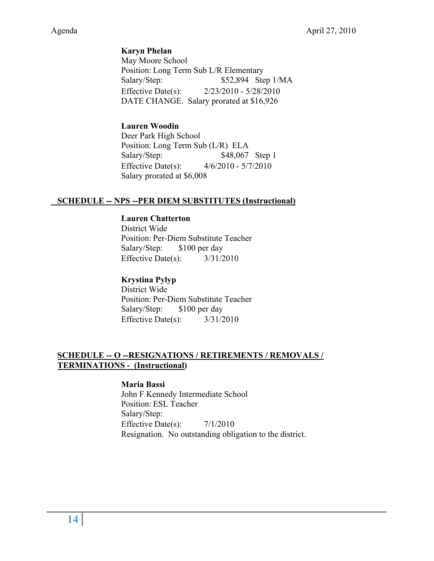**Karyn Phelan** May Moore School Position: Long Term Sub L/R Elementary Salary/Step:  $$52,894$  Step 1/MA Effective Date(s): 2/23/2010 - 5/28/2010 DATE CHANGE. Salary prorated at \$16,926

### **Lauren Woodin**

Deer Park High School Position: Long Term Sub (L/R) ELA Salary/Step: \$48,067 Step 1 Effective Date(s): 4/6/2010 - 5/7/2010 Salary prorated at \$6,008

### **SCHEDULE -- NPS --PER DIEM SUBSTITUTES (Instructional)**

#### **Lauren Chatterton**

District Wide Position: Per-Diem Substitute Teacher Salary/Step: \$100 per day Effective Date(s):  $3/31/2010$ 

#### **Krystina Pylyp**

District Wide Position: Per-Diem Substitute Teacher Salary/Step: \$100 per day Effective Date(s): 3/31/2010

### **SCHEDULE -- O --RESIGNATIONS / RETIREMENTS / REMOVALS / TERMINATIONS - (Instructional)**

#### **Maria Bassi**

John F Kennedy Intermediate School Position: ESL Teacher Salary/Step: Effective Date(s):  $7/1/2010$ Resignation. No outstanding obligation to the district.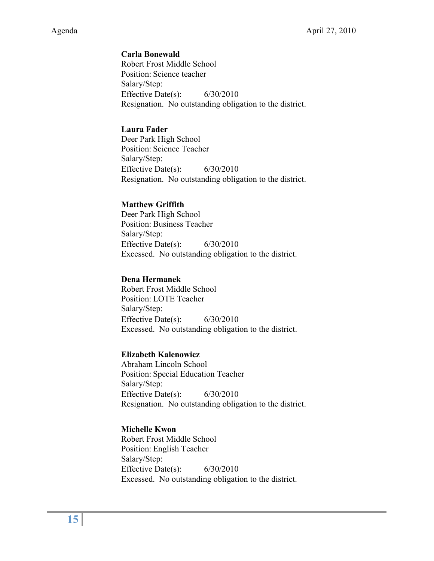#### **Carla Bonewald**

Robert Frost Middle School Position: Science teacher Salary/Step: Effective Date(s): 6/30/2010 Resignation. No outstanding obligation to the district.

#### **Laura Fader**

Deer Park High School Position: Science Teacher Salary/Step: Effective Date(s): 6/30/2010 Resignation. No outstanding obligation to the district.

#### **Matthew Griffith**

Deer Park High School Position: Business Teacher Salary/Step: Effective Date(s): 6/30/2010 Excessed. No outstanding obligation to the district.

#### **Dena Hermanek**

Robert Frost Middle School Position: LOTE Teacher Salary/Step: Effective Date(s): 6/30/2010 Excessed. No outstanding obligation to the district.

#### **Elizabeth Kalenowicz**

Abraham Lincoln School Position: Special Education Teacher Salary/Step: Effective Date(s): 6/30/2010 Resignation. No outstanding obligation to the district.

#### **Michelle Kwon**

Robert Frost Middle School Position: English Teacher Salary/Step: Effective Date(s): 6/30/2010 Excessed. No outstanding obligation to the district.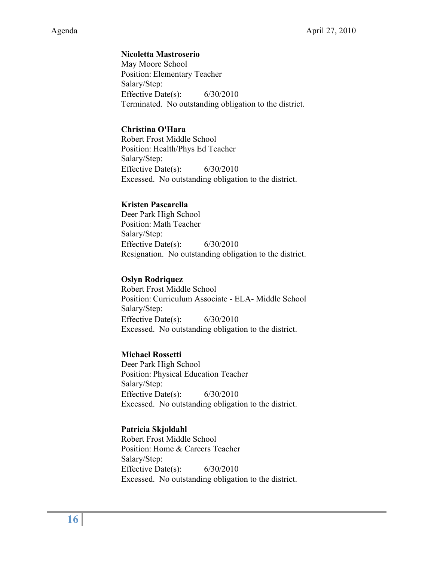#### **Nicoletta Mastroserio**

May Moore School Position: Elementary Teacher Salary/Step: Effective Date(s): 6/30/2010 Terminated. No outstanding obligation to the district.

#### **Christina O'Hara**

Robert Frost Middle School Position: Health/Phys Ed Teacher Salary/Step: Effective Date(s):  $6/30/2010$ Excessed. No outstanding obligation to the district.

#### **Kristen Pascarella**

Deer Park High School Position: Math Teacher Salary/Step: Effective Date(s): 6/30/2010 Resignation. No outstanding obligation to the district.

#### **Oslyn Rodriquez**

Robert Frost Middle School Position: Curriculum Associate - ELA- Middle School Salary/Step: Effective Date(s): 6/30/2010 Excessed. No outstanding obligation to the district.

#### **Michael Rossetti**

Deer Park High School Position: Physical Education Teacher Salary/Step: Effective Date(s): 6/30/2010 Excessed. No outstanding obligation to the district.

#### **Patricia Skjoldahl**

Robert Frost Middle School Position: Home & Careers Teacher Salary/Step: Effective Date(s): 6/30/2010 Excessed. No outstanding obligation to the district.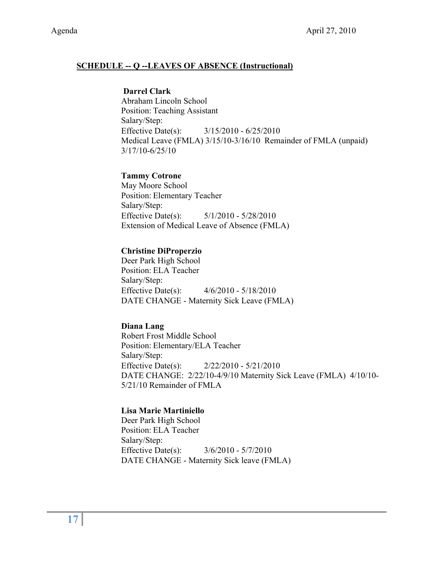#### **SCHEDULE -- Q --LEAVES OF ABSENCE (Instructional)**

#### **Darrel Clark**

Abraham Lincoln School Position: Teaching Assistant Salary/Step: Effective Date(s): 3/15/2010 - 6/25/2010 Medical Leave (FMLA) 3/15/10-3/16/10 Remainder of FMLA (unpaid) 3/17/10-6/25/10

#### **Tammy Cotrone**

May Moore School Position: Elementary Teacher Salary/Step: Effective Date(s): 5/1/2010 - 5/28/2010 Extension of Medical Leave of Absence (FMLA)

#### **Christine DiProperzio**

Deer Park High School Position: ELA Teacher Salary/Step: Effective Date(s): 4/6/2010 - 5/18/2010 DATE CHANGE - Maternity Sick Leave (FMLA)

#### **Diana Lang**

Robert Frost Middle School Position: Elementary/ELA Teacher Salary/Step: Effective Date(s): 2/22/2010 - 5/21/2010 DATE CHANGE: 2/22/10-4/9/10 Maternity Sick Leave (FMLA) 4/10/10- 5/21/10 Remainder of FMLA

#### **Lisa Marie Martiniello**

Deer Park High School Position: ELA Teacher Salary/Step: Effective Date(s): 3/6/2010 - 5/7/2010 DATE CHANGE - Maternity Sick leave (FMLA)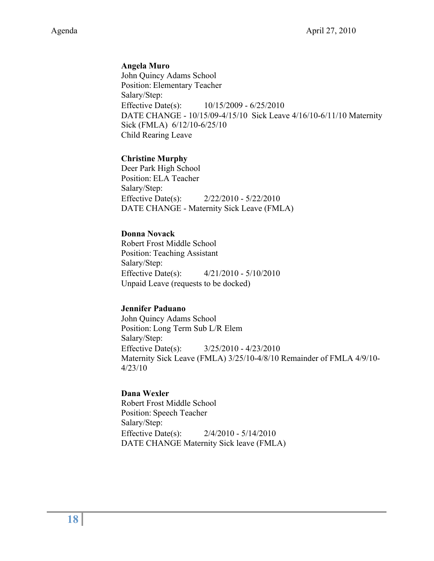#### **Angela Muro**

John Quincy Adams School Position: Elementary Teacher Salary/Step: Effective Date(s): 10/15/2009 - 6/25/2010 DATE CHANGE - 10/15/09-4/15/10 Sick Leave 4/16/10-6/11/10 Maternity Sick (FMLA) 6/12/10-6/25/10 Child Rearing Leave

#### **Christine Murphy**

Deer Park High School Position: ELA Teacher Salary/Step: Effective Date(s): 2/22/2010 - 5/22/2010 DATE CHANGE - Maternity Sick Leave (FMLA)

#### **Donna Novack**

Robert Frost Middle School Position: Teaching Assistant Salary/Step: Effective Date(s): 4/21/2010 - 5/10/2010 Unpaid Leave (requests to be docked)

#### **Jennifer Paduano**

John Quincy Adams School Position: Long Term Sub L/R Elem Salary/Step: Effective Date(s): 3/25/2010 - 4/23/2010 Maternity Sick Leave (FMLA) 3/25/10-4/8/10 Remainder of FMLA 4/9/10- 4/23/10

#### **Dana Wexler**

Robert Frost Middle School Position: Speech Teacher Salary/Step: Effective Date(s): 2/4/2010 - 5/14/2010 DATE CHANGE Maternity Sick leave (FMLA)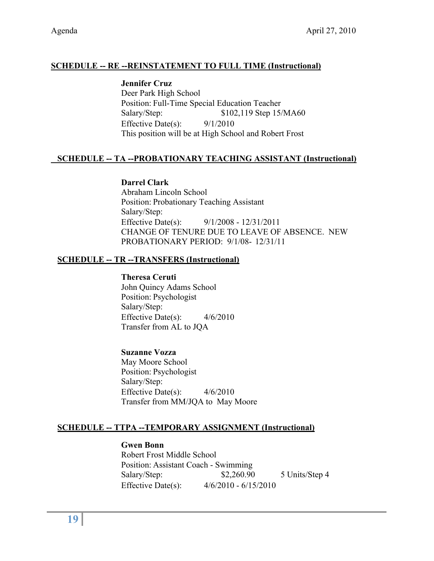## **SCHEDULE -- RE --REINSTATEMENT TO FULL TIME (Instructional)**

**Jennifer Cruz** Deer Park High School Position: Full-Time Special Education Teacher Salary/Step: \$102,119 Step 15/MA60 Effective Date(s):  $9/1/2010$ This position will be at High School and Robert Frost

## **SCHEDULE -- TA --PROBATIONARY TEACHING ASSISTANT (Instructional)**

#### **Darrel Clark**

Abraham Lincoln School Position: Probationary Teaching Assistant Salary/Step: Effective Date(s): 9/1/2008 - 12/31/2011 CHANGE OF TENURE DUE TO LEAVE OF ABSENCE. NEW PROBATIONARY PERIOD: 9/1/08- 12/31/11

### **SCHEDULE -- TR --TRANSFERS (Instructional)**

#### **Theresa Ceruti**

John Quincy Adams School Position: Psychologist Salary/Step: Effective Date(s): 4/6/2010 Transfer from AL to JQA

#### **Suzanne Vozza**

May Moore School Position: Psychologist Salary/Step: Effective Date(s): 4/6/2010 Transfer from MM/JQA to May Moore

## **SCHEDULE -- TTPA --TEMPORARY ASSIGNMENT (Instructional)**

#### **Gwen Bonn**

Robert Frost Middle School Position: Assistant Coach - Swimming Salary/Step: \$2,260.90 5 Units/Step 4 Effective Date(s): 4/6/2010 - 6/15/2010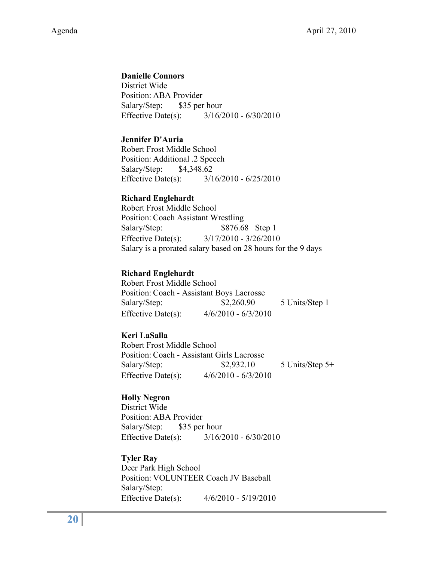#### **Danielle Connors**

District Wide Position: ABA Provider Salary/Step: \$35 per hour Effective Date(s): 3/16/2010 - 6/30/2010

#### **Jennifer D'Auria**

Robert Frost Middle School Position: Additional .2 Speech Salary/Step: \$4,348.62 Effective Date(s): 3/16/2010 - 6/25/2010

#### **Richard Englehardt**

Robert Frost Middle School Position: Coach Assistant Wrestling Salary/Step: \$876.68 Step 1 Effective Date(s): 3/17/2010 - 3/26/2010 Salary is a prorated salary based on 28 hours for the 9 days

#### **Richard Englehardt**

Robert Frost Middle School Position: Coach - Assistant Boys Lacrosse Salary/Step: \$2,260.90 5 Units/Step 1 Effective Date(s): 4/6/2010 - 6/3/2010

#### **Keri LaSalla**

Robert Frost Middle School Position: Coach - Assistant Girls Lacrosse Salary/Step: \$2,932.10 5 Units/Step 5+ Effective Date(s): 4/6/2010 - 6/3/2010

#### **Holly Negron**

District Wide Position: ABA Provider Salary/Step: \$35 per hour Effective Date(s): 3/16/2010 - 6/30/2010

#### **Tyler Ray**

Deer Park High School Position: VOLUNTEER Coach JV Baseball Salary/Step: Effective Date(s): 4/6/2010 - 5/19/2010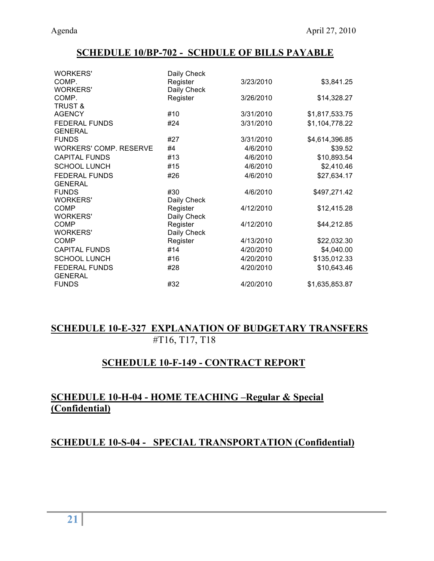# **SCHEDULE 10/BP-702 - SCHDULE OF BILLS PAYABLE**

| Daily Check |                            |                |
|-------------|----------------------------|----------------|
| Register    | 3/23/2010                  | \$3,841.25     |
|             |                            |                |
| Register    | 3/26/2010                  | \$14,328.27    |
|             |                            |                |
| #10         | 3/31/2010                  | \$1,817,533.75 |
| #24         | 3/31/2010                  | \$1,104,778.22 |
|             |                            |                |
| #27         | 3/31/2010                  | \$4,614,396.85 |
| #4          | 4/6/2010                   | \$39.52        |
| #13         | 4/6/2010                   | \$10,893.54    |
| #15         | 4/6/2010                   | \$2,410.46     |
| #26         | 4/6/2010                   | \$27,634.17    |
|             |                            |                |
| #30         | 4/6/2010                   | \$497,271.42   |
| Daily Check |                            |                |
| Register    | 4/12/2010                  | \$12,415.28    |
| Daily Check |                            |                |
| Register    | 4/12/2010                  | \$44,212.85    |
|             |                            |                |
| Register    | 4/13/2010                  | \$22,032.30    |
| #14         | 4/20/2010                  | \$4,040.00     |
| #16         | 4/20/2010                  | \$135,012.33   |
| #28         | 4/20/2010                  | \$10,643.46    |
|             |                            |                |
| #32         | 4/20/2010                  | \$1,635,853.87 |
|             | Daily Check<br>Daily Check |                |

# **SCHEDULE 10-E-327 EXPLANATION OF BUDGETARY TRANSFERS** #T16, T17, T18

# **SCHEDULE 10-F-149 - CONTRACT REPORT**

# **SCHEDULE 10-H-04 - HOME TEACHING –Regular & Special (Confidential)**

# **SCHEDULE 10-S-04 - SPECIAL TRANSPORTATION (Confidential)**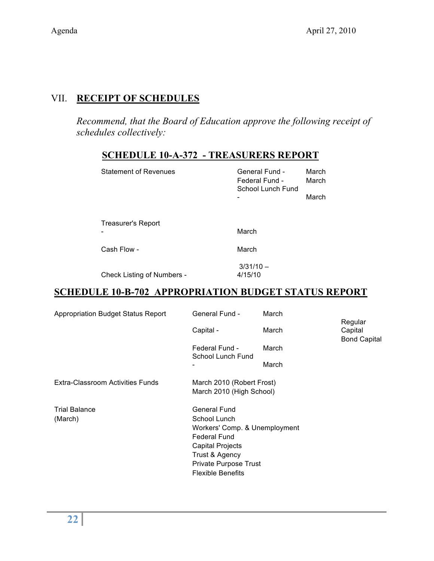# VII. **RECEIPT OF SCHEDULES**

*Recommend, that the Board of Education approve the following receipt of schedules collectively:*

| <b>Statement of Revenues</b> | General Fund -<br>Federal Fund -<br>School Lunch Fund | March<br>March<br>March |
|------------------------------|-------------------------------------------------------|-------------------------|
| <b>Treasurer's Report</b>    | March                                                 |                         |
| Cash Flow -                  | March                                                 |                         |
|                              | $3/31/10 -$                                           |                         |

# **SCHEDULE 10-A-372 - TREASURERS REPORT**

Check Listing of Numbers -

## **SCHEDULE 10-B-702 APPROPRIATION BUDGET STATUS REPORT**

4/15/10

| <b>Appropriation Budget Status Report</b> | <b>General Fund -</b><br>Capital -                                                                                                                                              | March<br>March | Regular<br>Capital<br><b>Bond Capital</b> |
|-------------------------------------------|---------------------------------------------------------------------------------------------------------------------------------------------------------------------------------|----------------|-------------------------------------------|
|                                           | Federal Fund -<br>School Lunch Fund                                                                                                                                             | March<br>March |                                           |
| Extra-Classroom Activities Funds          | March 2010 (Robert Frost)<br>March 2010 (High School)                                                                                                                           |                |                                           |
| <b>Trial Balance</b><br>(March)           | General Fund<br>School Lunch<br>Workers' Comp. & Unemployment<br>Federal Fund<br><b>Capital Projects</b><br>Trust & Agency<br>Private Purpose Trust<br><b>Flexible Benefits</b> |                |                                           |